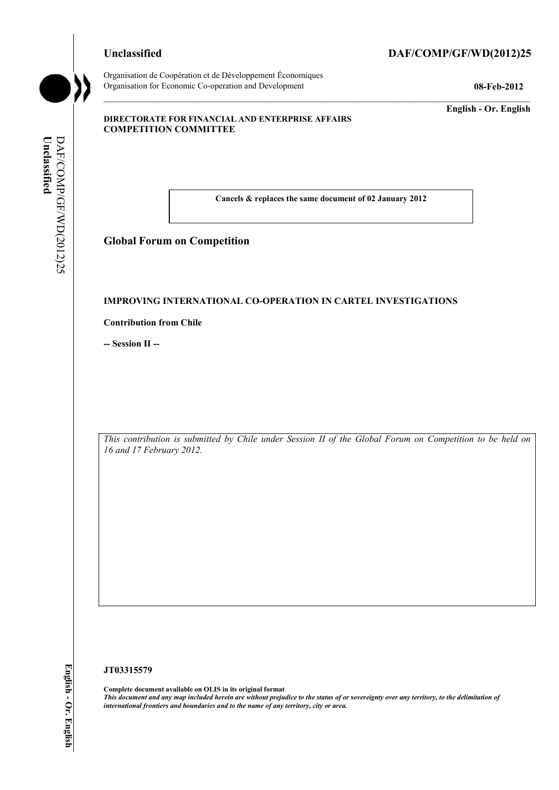## **Unclassified DAF/COMP/GF/WD(2012)25**

Organisation de Coopération et de Développement Économiques Organisation for Economic Co-operation and Development **08-Feb-2012** 

**English - Or. English** 

#### **DIRECTORATE FOR FINANCIAL AND ENTERPRISE AFFAIRS COMPETITION COMMITTEE**

Unclassified **Unclassified**  DAF/COMP/GF/WD(2012)25 DAF/COMP/GF/WD(2012)25

**Cancels & replaces the same document of 02 January 2012** 

# **Global Forum on Competition**

#### **IMPROVING INTERNATIONAL CO-OPERATION IN CARTEL INVESTIGATIONS**

**Contribution from Chile** 

**-- Session II --** 

*This contribution is submitted by Chile under Session II of the Global Forum on Competition to be held on 16 and 17 February 2012.* 

#### **JT03315579**

**Complete document available on OLIS in its original format** *This document and any map included herein are without prejudice to the status of or sovereignty over any territory, to the delimitation of international frontiers and boundaries and to the name of any territory, city or area.*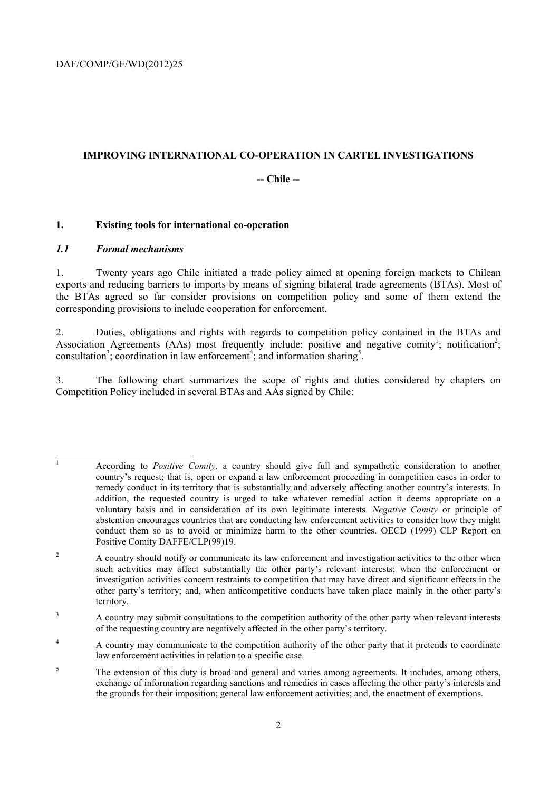# **IMPROVING INTERNATIONAL CO-OPERATION IN CARTEL INVESTIGATIONS**

# **-- Chile --**

## **1. Existing tools for international co-operation**

## *1.1 Formal mechanisms*

1. Twenty years ago Chile initiated a trade policy aimed at opening foreign markets to Chilean exports and reducing barriers to imports by means of signing bilateral trade agreements (BTAs). Most of the BTAs agreed so far consider provisions on competition policy and some of them extend the corresponding provisions to include cooperation for enforcement.

2. Duties, obligations and rights with regards to competition policy contained in the BTAs and Association Agreements (AAs) most frequently include: positive and negative comity<sup>1</sup>; notification<sup>2</sup>; consultation<sup>3</sup>; coordination in law enforcement<sup>4</sup>; and information sharing<sup>5</sup>.

3. The following chart summarizes the scope of rights and duties considered by chapters on Competition Policy included in several BTAs and AAs signed by Chile:

<sup>|&</sup>lt;br>|<br>| According to *Positive Comity*, a country should give full and sympathetic consideration to another country's request; that is, open or expand a law enforcement proceeding in competition cases in order to remedy conduct in its territory that is substantially and adversely affecting another country's interests. In addition, the requested country is urged to take whatever remedial action it deems appropriate on a voluntary basis and in consideration of its own legitimate interests. *Negative Comity* or principle of abstention encourages countries that are conducting law enforcement activities to consider how they might conduct them so as to avoid or minimize harm to the other countries. OECD (1999) CLP Report on Positive Comity DAFFE/CLP(99)19.

<sup>2</sup> A country should notify or communicate its law enforcement and investigation activities to the other when such activities may affect substantially the other party's relevant interests; when the enforcement or investigation activities concern restraints to competition that may have direct and significant effects in the other party's territory; and, when anticompetitive conducts have taken place mainly in the other party's territory.

<sup>3</sup> A country may submit consultations to the competition authority of the other party when relevant interests of the requesting country are negatively affected in the other party's territory.

<sup>4</sup> A country may communicate to the competition authority of the other party that it pretends to coordinate law enforcement activities in relation to a specific case.

<sup>5</sup> The extension of this duty is broad and general and varies among agreements. It includes, among others, exchange of information regarding sanctions and remedies in cases affecting the other party's interests and the grounds for their imposition; general law enforcement activities; and, the enactment of exemptions.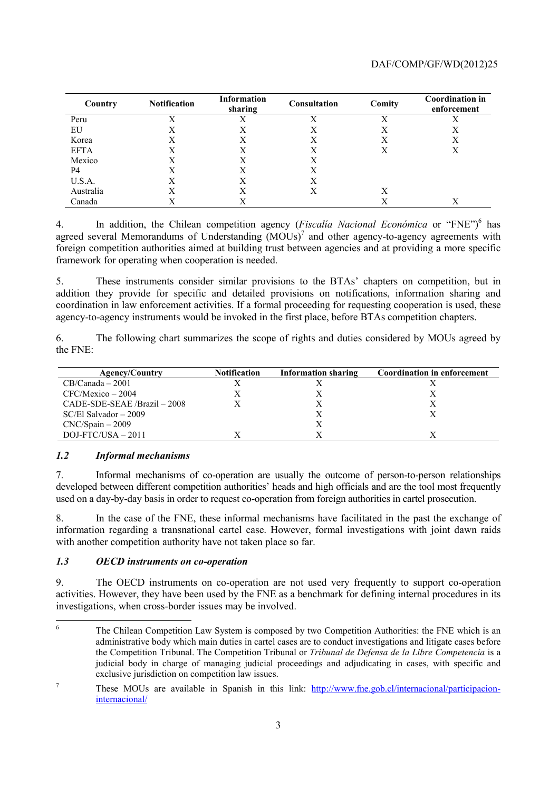| Country     | <b>Notification</b> | <b>Information</b><br>sharing | Consultation | Comity | <b>Coordination in</b><br>enforcement |
|-------------|---------------------|-------------------------------|--------------|--------|---------------------------------------|
| Peru        | $\mathbf{v}$        |                               | Х            | X      |                                       |
| EU          | Х                   | Χ                             | X            | Х      | Х                                     |
| Korea       | X                   | X                             | X            | Χ      | Х                                     |
| <b>EFTA</b> |                     | Х                             | Х            | Х      | Х                                     |
| Mexico      | Х                   | Χ                             | Х            |        |                                       |
| P4          | X                   | Х                             | Χ            |        |                                       |
| U.S.A.      | X                   | X                             | Х            |        |                                       |
| Australia   | Х                   | Χ                             | Χ            | Χ      |                                       |
| Canada      |                     |                               |              | X      | X                                     |

4. In addition, the Chilean competition agency (*Fiscalia Nacional Económica* or "FNE")<sup>6</sup> has agreed several Memorandums of Understanding  $(MOUs)^7$  and other agency-to-agency agreements with foreign competition authorities aimed at building trust between agencies and at providing a more specific framework for operating when cooperation is needed.

5. These instruments consider similar provisions to the BTAs' chapters on competition, but in addition they provide for specific and detailed provisions on notifications, information sharing and coordination in law enforcement activities. If a formal proceeding for requesting cooperation is used, these agency-to-agency instruments would be invoked in the first place, before BTAs competition chapters.

6. The following chart summarizes the scope of rights and duties considered by MOUs agreed by the FNE:

| <b>Agency/Country</b>           | <b>Notification</b> | <b>Information sharing</b> | <b>Coordination in enforcement</b> |
|---------------------------------|---------------------|----------------------------|------------------------------------|
| $CB/Canada - 2001$              |                     |                            |                                    |
| $CFC/Mexico - 2004$             |                     |                            |                                    |
| $CADE-SDE-SEAE / Brazil - 2008$ |                     |                            |                                    |
| $SC/E1$ Salvador $-2009$        |                     |                            |                                    |
| $CNC/Spain-2009$                |                     |                            |                                    |
| $DOJ-FTC/USA - 2011$            |                     |                            |                                    |

# *1.2 Informal mechanisms*

7. Informal mechanisms of co-operation are usually the outcome of person-to-person relationships developed between different competition authorities' heads and high officials and are the tool most frequently used on a day-by-day basis in order to request co-operation from foreign authorities in cartel prosecution.

8. In the case of the FNE, these informal mechanisms have facilitated in the past the exchange of information regarding a transnational cartel case. However, formal investigations with joint dawn raids with another competition authority have not taken place so far.

#### *1.3 OECD instruments on co-operation*

9. The OECD instruments on co-operation are not used very frequently to support co-operation activities. However, they have been used by the FNE as a benchmark for defining internal procedures in its investigations, when cross-border issues may be involved.

 6 The Chilean Competition Law System is composed by two Competition Authorities: the FNE which is an administrative body which main duties in cartel cases are to conduct investigations and litigate cases before the Competition Tribunal. The Competition Tribunal or *Tribunal de Defensa de la Libre Competencia* is a judicial body in charge of managing judicial proceedings and adjudicating in cases, with specific and exclusive jurisdiction on competition law issues.

<sup>7</sup> These MOUs are available in Spanish in this link: http://www.fne.gob.cl/internacional/participacioninternacional/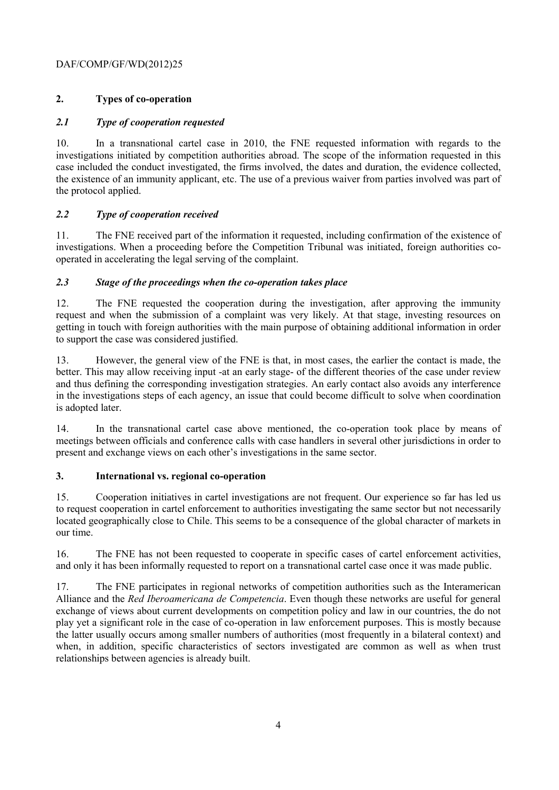# DAF/COMP/GF/WD(2012)25

# **2. Types of co-operation**

# *2.1 Type of cooperation requested*

10. In a transnational cartel case in 2010, the FNE requested information with regards to the investigations initiated by competition authorities abroad. The scope of the information requested in this case included the conduct investigated, the firms involved, the dates and duration, the evidence collected, the existence of an immunity applicant, etc. The use of a previous waiver from parties involved was part of the protocol applied.

# *2.2 Type of cooperation received*

11. The FNE received part of the information it requested, including confirmation of the existence of investigations. When a proceeding before the Competition Tribunal was initiated, foreign authorities cooperated in accelerating the legal serving of the complaint.

# *2.3 Stage of the proceedings when the co-operation takes place*

12. The FNE requested the cooperation during the investigation, after approving the immunity request and when the submission of a complaint was very likely. At that stage, investing resources on getting in touch with foreign authorities with the main purpose of obtaining additional information in order to support the case was considered justified.

13. However, the general view of the FNE is that, in most cases, the earlier the contact is made, the better. This may allow receiving input -at an early stage- of the different theories of the case under review and thus defining the corresponding investigation strategies. An early contact also avoids any interference in the investigations steps of each agency, an issue that could become difficult to solve when coordination is adopted later.

14. In the transnational cartel case above mentioned, the co-operation took place by means of meetings between officials and conference calls with case handlers in several other jurisdictions in order to present and exchange views on each other's investigations in the same sector.

# **3. International vs. regional co-operation**

15. Cooperation initiatives in cartel investigations are not frequent. Our experience so far has led us to request cooperation in cartel enforcement to authorities investigating the same sector but not necessarily located geographically close to Chile. This seems to be a consequence of the global character of markets in our time.

16. The FNE has not been requested to cooperate in specific cases of cartel enforcement activities, and only it has been informally requested to report on a transnational cartel case once it was made public.

17. The FNE participates in regional networks of competition authorities such as the Interamerican Alliance and the *Red Iberoamericana de Competencia*. Even though these networks are useful for general exchange of views about current developments on competition policy and law in our countries, the do not play yet a significant role in the case of co-operation in law enforcement purposes. This is mostly because the latter usually occurs among smaller numbers of authorities (most frequently in a bilateral context) and when, in addition, specific characteristics of sectors investigated are common as well as when trust relationships between agencies is already built.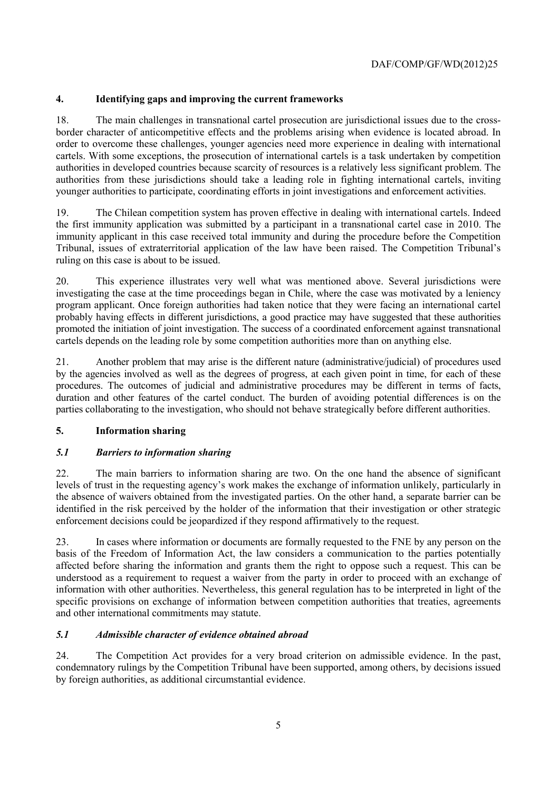# **4. Identifying gaps and improving the current frameworks**

18. The main challenges in transnational cartel prosecution are jurisdictional issues due to the crossborder character of anticompetitive effects and the problems arising when evidence is located abroad. In order to overcome these challenges, younger agencies need more experience in dealing with international cartels. With some exceptions, the prosecution of international cartels is a task undertaken by competition authorities in developed countries because scarcity of resources is a relatively less significant problem. The authorities from these jurisdictions should take a leading role in fighting international cartels, inviting younger authorities to participate, coordinating efforts in joint investigations and enforcement activities.

19. The Chilean competition system has proven effective in dealing with international cartels. Indeed the first immunity application was submitted by a participant in a transnational cartel case in 2010. The immunity applicant in this case received total immunity and during the procedure before the Competition Tribunal, issues of extraterritorial application of the law have been raised. The Competition Tribunal's ruling on this case is about to be issued.

20. This experience illustrates very well what was mentioned above. Several jurisdictions were investigating the case at the time proceedings began in Chile, where the case was motivated by a leniency program applicant. Once foreign authorities had taken notice that they were facing an international cartel probably having effects in different jurisdictions, a good practice may have suggested that these authorities promoted the initiation of joint investigation. The success of a coordinated enforcement against transnational cartels depends on the leading role by some competition authorities more than on anything else.

21. Another problem that may arise is the different nature (administrative/judicial) of procedures used by the agencies involved as well as the degrees of progress, at each given point in time, for each of these procedures. The outcomes of judicial and administrative procedures may be different in terms of facts, duration and other features of the cartel conduct. The burden of avoiding potential differences is on the parties collaborating to the investigation, who should not behave strategically before different authorities.

# **5. Information sharing**

# *5.1 Barriers to information sharing*

22. The main barriers to information sharing are two. On the one hand the absence of significant levels of trust in the requesting agency's work makes the exchange of information unlikely, particularly in the absence of waivers obtained from the investigated parties. On the other hand, a separate barrier can be identified in the risk perceived by the holder of the information that their investigation or other strategic enforcement decisions could be jeopardized if they respond affirmatively to the request.

23. In cases where information or documents are formally requested to the FNE by any person on the basis of the Freedom of Information Act, the law considers a communication to the parties potentially affected before sharing the information and grants them the right to oppose such a request. This can be understood as a requirement to request a waiver from the party in order to proceed with an exchange of information with other authorities. Nevertheless, this general regulation has to be interpreted in light of the specific provisions on exchange of information between competition authorities that treaties, agreements and other international commitments may statute.

# *5.1 Admissible character of evidence obtained abroad*

24. The Competition Act provides for a very broad criterion on admissible evidence. In the past, condemnatory rulings by the Competition Tribunal have been supported, among others, by decisions issued by foreign authorities, as additional circumstantial evidence.